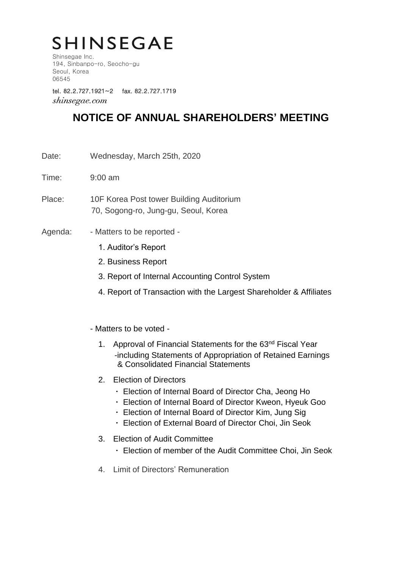# **SHINSEGAE**

Shinsegae Inc. 194, Sinbanpo-ro, Seocho-gu Seoul, Korea 06545

tel. 82.2.727.1921~2 fax. 82.2.727.1719 shinsegae.com

### **NOTICE OF ANNUAL SHAREHOLDERS' MEETING**

- Date: Wednesday, March 25th, 2020
- Time: 9:00 am
- Place: 10F Korea Post tower Building Auditorium 70, Sogong-ro, Jung-gu, Seoul, Korea
- Agenda: Matters to be reported -
	- 1. Auditor's Report
	- 2. Business Report
	- 3. Report of Internal Accounting Control System
	- 4. Report of Transaction with the Largest Shareholder & Affiliates

#### - Matters to be voted -

- 1. Approval of Financial Statements for the 63<sup>nd</sup> Fiscal Year -including Statements of Appropriation of Retained Earnings & Consolidated Financial Statements
- 2. Election of Directors
	- Election of Internal Board of Director Cha, Jeong Ho
	- ㆍ Election of Internal Board of Director Kweon, Hyeuk Goo
	- Election of Internal Board of Director Kim, Jung Sig
	- ㆍ Election of External Board of Director Choi, Jin Seok
- 3. Election of Audit Committee
	- ㆍ Election of member of the Audit Committee Choi, Jin Seok
- 4. Limit of Directors' Remuneration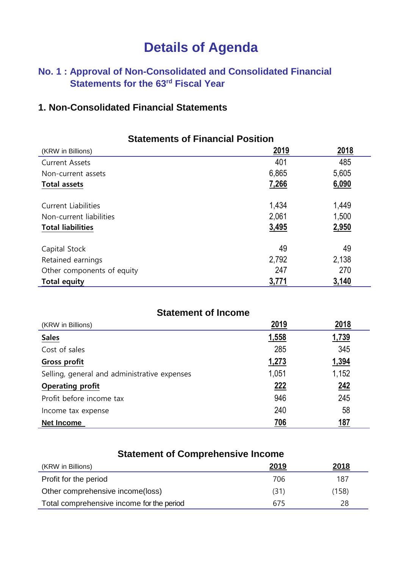# **Details of Agenda**

### **No. 1 : Approval of Non-Consolidated and Consolidated Financial** Statements for the 63<sup>rd</sup> Fiscal Year

### **1. Non-Consolidated Financial Statements**

| <b>Statements of Financial Position</b> |             |       |
|-----------------------------------------|-------------|-------|
| (KRW in Billions)                       | <u>2019</u> | 2018  |
| <b>Current Assets</b>                   | 401         | 485   |
| Non-current assets                      | 6,865       | 5,605 |
| <b>Total assets</b>                     | 7,266       | 6,090 |
| <b>Current Liabilities</b>              | 1,434       | 1,449 |
| Non-current liabilities                 | 2,061       | 1,500 |
| <b>Total liabilities</b>                | 3,495       | 2,950 |
| Capital Stock                           | 49          | 49    |
| Retained earnings                       | 2,792       | 2,138 |
| Other components of equity              | 247         | 270   |
| <b>Total equity</b>                     | 3,771       | 3,140 |

| <b>Statement of Income</b>                   |              |            |
|----------------------------------------------|--------------|------------|
| (KRW in Billions)                            | 2019         | 2018       |
| <b>Sales</b>                                 | 1,558        | 1,739      |
| Cost of sales                                | 285          | 345        |
| <b>Gross profit</b>                          | <u>1,273</u> | 1,394      |
| Selling, general and administrative expenses | 1,051        | 1,152      |
| <b>Operating profit</b>                      | 222          | <u>242</u> |
| Profit before income tax                     | 946          | 245        |
| Income tax expense                           | 240          | 58         |
| <b>Net Income</b>                            | <b>706</b>   | <u>187</u> |

| <b>Statement of Comprehensive Income</b>  |      |              |
|-------------------------------------------|------|--------------|
| (KRW in Billions)                         | 2019 | <u> 2018</u> |
| Profit for the period                     | 706  | 187          |
| Other comprehensive income(loss)          | (31) | (158)        |
| Total comprehensive income for the period | 675  | 28           |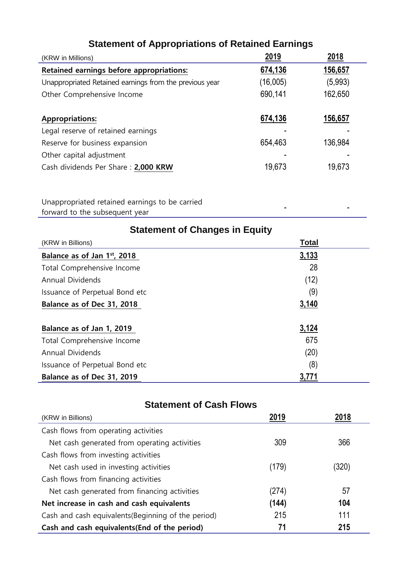| (KRW in Millions)                                       | 2019     | 2018    |
|---------------------------------------------------------|----------|---------|
| Retained earnings before appropriations:                | 674,136  | 156,657 |
| Unappropriated Retained earnings from the previous year | (16,005) | (5,993) |
| Other Comprehensive Income                              | 690,141  | 162,650 |
|                                                         |          |         |
| <b>Appropriations:</b>                                  | 674,136  | 156,657 |
| Legal reserve of retained earnings                      |          |         |
| Reserve for business expansion                          | 654,463  | 136,984 |
| Other capital adjustment                                |          |         |
| Cash dividends Per Share: 2,000 KRW                     | 19,673   | 19,673  |
|                                                         |          |         |

### **Statement of Appropriations of Retained Earnings**

Unappropriated retained earnings to be carried forward to the subsequent year - -

| <b>Statement of Changes in Equity</b> |              |  |
|---------------------------------------|--------------|--|
| (KRW in Billions)                     | <b>Total</b> |  |
| Balance as of Jan 1st, 2018           | 3,133        |  |
| Total Comprehensive Income            | 28           |  |
| <b>Annual Dividends</b>               | (12)         |  |
| Issuance of Perpetual Bond etc        | (9)          |  |
| Balance as of Dec 31, 2018            | 3,140        |  |
|                                       |              |  |
| Balance as of Jan 1, 2019             | 3,124        |  |
| Total Comprehensive Income            | 675          |  |
| <b>Annual Dividends</b>               | (20)         |  |
| Issuance of Perpetual Bond etc        | (8)          |  |
| Balance as of Dec 31, 2019            | 3,771        |  |

### **Statement of Cash Flows**

| (KRW in Billions)                                   | 2019  | 2018  |
|-----------------------------------------------------|-------|-------|
| Cash flows from operating activities                |       |       |
| Net cash generated from operating activities        | 309   | 366   |
| Cash flows from investing activities                |       |       |
| Net cash used in investing activities               | (179) | (320) |
| Cash flows from financing activities                |       |       |
| Net cash generated from financing activities        | (274) | 57    |
| Net increase in cash and cash equivalents           | (144) | 104   |
| Cash and cash equivalents (Beginning of the period) | 215   | 111   |
| Cash and cash equivalents (End of the period)       | 71    | 215   |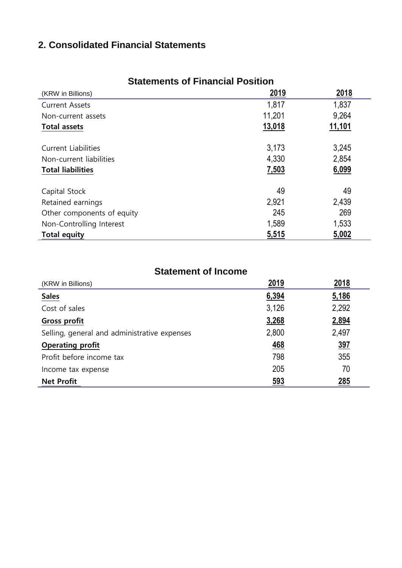### **2. Consolidated Financial Statements**

| (KRW in Billions)          | <u>2019</u> | 2018   |
|----------------------------|-------------|--------|
| <b>Current Assets</b>      | 1,817       | 1,837  |
| Non-current assets         | 11,201      | 9,264  |
| <b>Total assets</b>        | 13,018      | 11,101 |
| <b>Current Liabilities</b> | 3,173       | 3,245  |
| Non-current liabilities    | 4,330       | 2,854  |
| <b>Total liabilities</b>   | 7,503       | 6,099  |
| Capital Stock              | 49          | 49     |
| Retained earnings          | 2,921       | 2,439  |
| Other components of equity | 245         | 269    |
| Non-Controlling Interest   | 1,589       | 1,533  |
| <b>Total equity</b>        | 5,515       | 5,002  |

### **Statements of Financial Position**

#### **Statement of Income**

| (KRW in Billions)                            | 2019       | 2018       |
|----------------------------------------------|------------|------------|
| <b>Sales</b>                                 | 6,394      | 5,186      |
| Cost of sales                                | 3,126      | 2,292      |
| Gross profit                                 | 3,268      | 2,894      |
| Selling, general and administrative expenses | 2,800      | 2,497      |
| <b>Operating profit</b>                      | <u>468</u> | <u>397</u> |
| Profit before income tax                     | 798        | 355        |
| Income tax expense                           | 205        | 70         |
| <b>Net Profit</b>                            | 593        | 285        |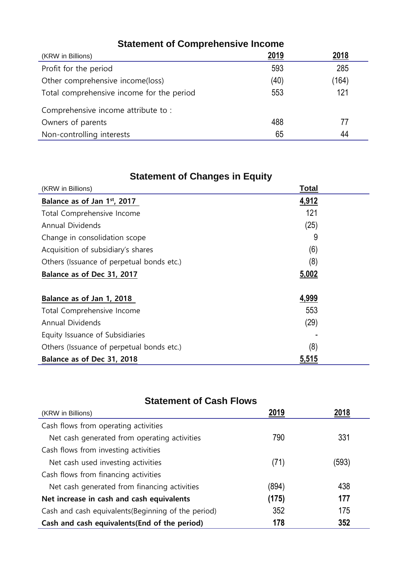| <b>Statement of Comprehensive Income</b>  |      |       |
|-------------------------------------------|------|-------|
| (KRW in Billions)                         | 2019 | 2018  |
| Profit for the period                     | 593  | 285   |
| Other comprehensive income(loss)          | (40) | (164) |
| Total comprehensive income for the period | 553  | 121   |
| Comprehensive income attribute to:        |      |       |
| Owners of parents                         | 488  | 77    |
| Non-controlling interests                 | 65   | 44    |

## **Statement of Changes in Equity**

| (KRW in Billions)                         | Total |  |
|-------------------------------------------|-------|--|
| Balance as of Jan 1st, 2017               | 4,912 |  |
| Total Comprehensive Income                | 121   |  |
| <b>Annual Dividends</b>                   | (25)  |  |
| Change in consolidation scope             | 9     |  |
| Acquisition of subsidiary's shares        | (6)   |  |
| Others (Issuance of perpetual bonds etc.) | (8)   |  |
| Balance as of Dec 31, 2017                | 5,002 |  |
| Balance as of Jan 1, 2018                 | 4,999 |  |
| Total Comprehensive Income                | 553   |  |
| <b>Annual Dividends</b>                   | (29)  |  |
| Equity Issuance of Subsidiaries           |       |  |
| Others (Issuance of perpetual bonds etc.) | (8)   |  |
| Balance as of Dec 31, 2018                | 5,515 |  |

## **Statement of Cash Flows**

| (KRW in Billions)                                   | 2019  |       |
|-----------------------------------------------------|-------|-------|
| Cash flows from operating activities                |       |       |
| Net cash generated from operating activities        | 790   | 331   |
| Cash flows from investing activities                |       |       |
| Net cash used investing activities                  | (71)  | (593) |
| Cash flows from financing activities                |       |       |
| Net cash generated from financing activities        | (894) | 438   |
| Net increase in cash and cash equivalents           | (175) | 177   |
| Cash and cash equivalents (Beginning of the period) | 352   | 175   |
| Cash and cash equivalents (End of the period)       | 178   | 352   |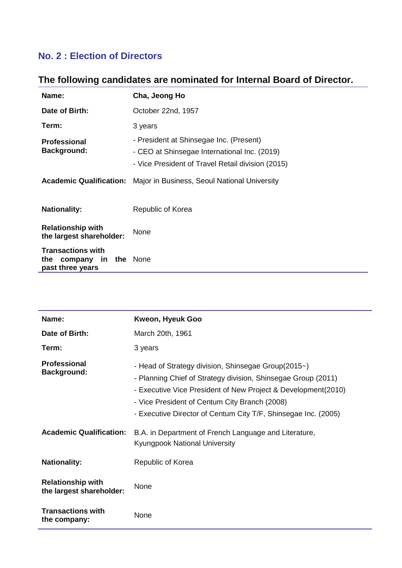### **No. 2 : Election of Directors**

### **The following candidates are nominated for Internal Board of Director.**

| Name:                                                             | Cha, Jeong Ho                                                                                                                                |
|-------------------------------------------------------------------|----------------------------------------------------------------------------------------------------------------------------------------------|
| Date of Birth:                                                    | October 22nd, 1957                                                                                                                           |
| Term:                                                             | 3 years                                                                                                                                      |
| <b>Professional</b><br><b>Background:</b>                         | - President at Shinsegae Inc. (Present)<br>- CEO at Shinsegae International Inc. (2019)<br>- Vice President of Travel Retail division (2015) |
|                                                                   | <b>Academic Qualification:</b> Major in Business, Seoul National University                                                                  |
| <b>Nationality:</b>                                               | Republic of Korea                                                                                                                            |
| <b>Relationship with</b><br>the largest shareholder:              | <b>None</b>                                                                                                                                  |
| <b>Transactions with</b><br>the<br>company in<br>past three years | the None                                                                                                                                     |

| Name:                                                | Kweon, Hyeuk Goo                                                                                                                                                                                                                                                                                         |
|------------------------------------------------------|----------------------------------------------------------------------------------------------------------------------------------------------------------------------------------------------------------------------------------------------------------------------------------------------------------|
| Date of Birth:                                       | March 20th, 1961                                                                                                                                                                                                                                                                                         |
| Term:                                                | 3 years                                                                                                                                                                                                                                                                                                  |
| <b>Professional</b><br><b>Background:</b>            | - Head of Strategy division, Shinsegae Group(2015~)<br>- Planning Chief of Strategy division, Shinsegae Group (2011)<br>- Executive Vice President of New Project & Development(2010)<br>- Vice President of Centum City Branch (2008)<br>- Executive Director of Centum City T/F, Shinsegae Inc. (2005) |
| <b>Academic Qualification:</b>                       | B.A. in Department of French Language and Literature,<br><b>Kyungpook National University</b>                                                                                                                                                                                                            |
| <b>Nationality:</b>                                  | Republic of Korea                                                                                                                                                                                                                                                                                        |
| <b>Relationship with</b><br>the largest shareholder: | None                                                                                                                                                                                                                                                                                                     |
| <b>Transactions with</b><br>the company:             | None                                                                                                                                                                                                                                                                                                     |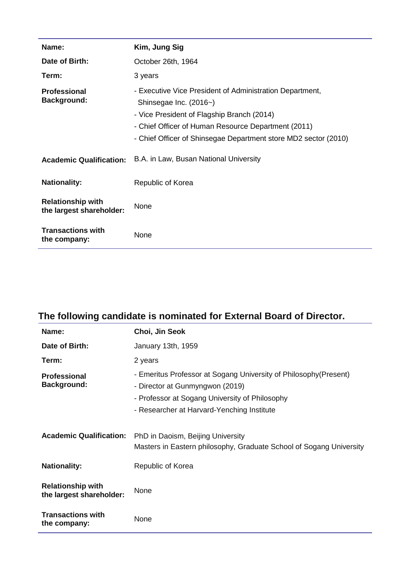| Name:                                                | Kim, Jung Sig                                                                                                                                                                                                                                              |  |  |
|------------------------------------------------------|------------------------------------------------------------------------------------------------------------------------------------------------------------------------------------------------------------------------------------------------------------|--|--|
| Date of Birth:                                       | October 26th, 1964                                                                                                                                                                                                                                         |  |  |
| Term:                                                | 3 years                                                                                                                                                                                                                                                    |  |  |
| <b>Professional</b><br><b>Background:</b>            | - Executive Vice President of Administration Department,<br>Shinsegae Inc. (2016~)<br>- Vice President of Flagship Branch (2014)<br>- Chief Officer of Human Resource Department (2011)<br>- Chief Officer of Shinsegae Department store MD2 sector (2010) |  |  |
| <b>Academic Qualification:</b>                       | B.A. in Law, Busan National University                                                                                                                                                                                                                     |  |  |
| <b>Nationality:</b>                                  | Republic of Korea                                                                                                                                                                                                                                          |  |  |
| <b>Relationship with</b><br>the largest shareholder: | None                                                                                                                                                                                                                                                       |  |  |
| <b>Transactions with</b><br>the company:             | None                                                                                                                                                                                                                                                       |  |  |

# **The following candidate is nominated for External Board of Director.**

| Name:                                                | Choi, Jin Seok                                                                                                                                                                                       |  |  |
|------------------------------------------------------|------------------------------------------------------------------------------------------------------------------------------------------------------------------------------------------------------|--|--|
| Date of Birth:                                       | January 13th, 1959                                                                                                                                                                                   |  |  |
| Term:                                                | 2 years                                                                                                                                                                                              |  |  |
| <b>Professional</b><br><b>Background:</b>            | - Emeritus Professor at Sogang University of Philosophy (Present)<br>- Director at Gunmyngwon (2019)<br>- Professor at Sogang University of Philosophy<br>- Researcher at Harvard-Yenching Institute |  |  |
| <b>Academic Qualification:</b>                       | PhD in Daoism, Beijing University<br>Masters in Eastern philosophy, Graduate School of Sogang University                                                                                             |  |  |
| <b>Nationality:</b>                                  | Republic of Korea                                                                                                                                                                                    |  |  |
| <b>Relationship with</b><br>the largest shareholder: | None                                                                                                                                                                                                 |  |  |
| <b>Transactions with</b><br>the company:             | None                                                                                                                                                                                                 |  |  |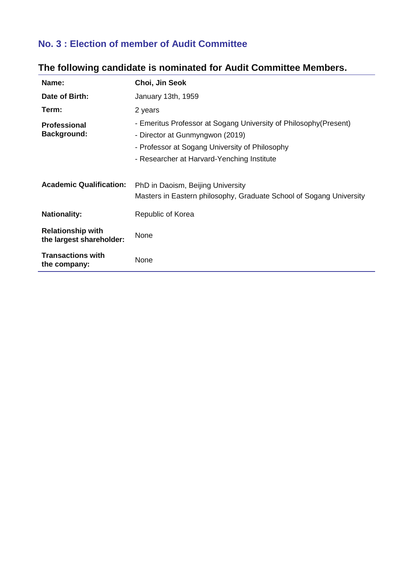### **No. 3 : Election of member of Audit Committee**

| Name:                                                | Choi, Jin Seok                                                                                                                                                                                       |
|------------------------------------------------------|------------------------------------------------------------------------------------------------------------------------------------------------------------------------------------------------------|
| Date of Birth:                                       | January 13th, 1959                                                                                                                                                                                   |
| Term:                                                | 2 years                                                                                                                                                                                              |
| <b>Professional</b><br><b>Background:</b>            | - Emeritus Professor at Sogang University of Philosophy (Present)<br>- Director at Gunmyngwon (2019)<br>- Professor at Sogang University of Philosophy<br>- Researcher at Harvard-Yenching Institute |
| <b>Academic Qualification:</b>                       | PhD in Daoism, Beijing University<br>Masters in Eastern philosophy, Graduate School of Sogang University                                                                                             |
| <b>Nationality:</b>                                  | Republic of Korea                                                                                                                                                                                    |
| <b>Relationship with</b><br>the largest shareholder: | None                                                                                                                                                                                                 |
| <b>Transactions with</b><br>the company:             | None                                                                                                                                                                                                 |

### **The following candidate is nominated for Audit Committee Members.**